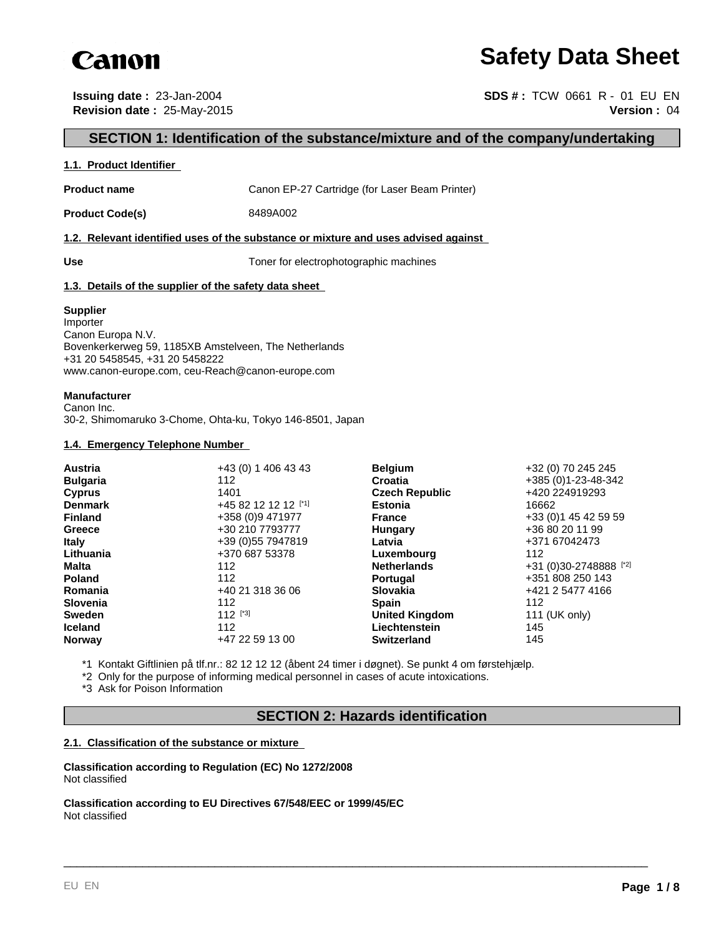

# **Safety Data Sheet**

**Issuing date :** 23-Jan-2004 **SDS # :** TCW 0661 R - 01 EU EN **Revision date :** 25-May-2015 **Version :** 04

# **SECTION 1: Identification of the substance/mixture and of the company/undertaking**

#### **1.1. Product Identifier**

**Product name** Canon EP-27 Cartridge (for Laser Beam Printer)

**Product Code(s)** 8489A002

## **1.2. Relevant identified uses of the substance or mixture and uses advised against**

Use Use **Use** Toner for electrophotographic machines

## **1.3. Details of the supplier of the safety data sheet**

#### **Supplier**

Importer Canon Europa N.V. Bovenkerkerweg 59, 1185XB Amstelveen, The Netherlands +31 20 5458545, +31 20 5458222 www.canon-europe.com, ceu-Reach@canon-europe.com

## **Manufacturer**

Canon Inc. 30-2, Shimomaruko 3-Chome, Ohta-ku, Tokyo 146-8501, Japan

#### **1.4. Emergency Telephone Number**

| +43 (0) 1 406 43 43  |               | +32 (0) 70 245 245                                                                                                                                                                                                                               |
|----------------------|---------------|--------------------------------------------------------------------------------------------------------------------------------------------------------------------------------------------------------------------------------------------------|
| 112                  |               | +385 (0) 1-23-48-342                                                                                                                                                                                                                             |
| 1401                 |               | +420 224919293                                                                                                                                                                                                                                   |
| +45 82 12 12 12 [*1] |               | 16662                                                                                                                                                                                                                                            |
| +358 (0)9 471977     |               | +33 (0) 1 45 42 59 59                                                                                                                                                                                                                            |
| +30 210 7793777      |               | +36 80 20 11 99                                                                                                                                                                                                                                  |
| +39 (0) 55 7947819   | Latvia        | +371 67042473                                                                                                                                                                                                                                    |
| +370 687 53378       |               | 112                                                                                                                                                                                                                                              |
| 112                  |               | +31 (0)30-2748888 [*2]                                                                                                                                                                                                                           |
| 112                  |               | +351 808 250 143                                                                                                                                                                                                                                 |
| +40 21 318 36 06     |               | +421 2 5477 4166                                                                                                                                                                                                                                 |
| 112                  |               | 112                                                                                                                                                                                                                                              |
| $112$ [*3]           |               | 111 (UK only)                                                                                                                                                                                                                                    |
| 112                  | Liechtenstein | 145                                                                                                                                                                                                                                              |
| +47 22 59 13 00      |               | 145                                                                                                                                                                                                                                              |
|                      |               | <b>Belgium</b><br><b>Croatia</b><br><b>Czech Republic</b><br><b>Estonia</b><br><b>France</b><br>Hungary<br>Luxembourg<br><b>Netherlands</b><br><b>Portugal</b><br><b>Slovakia</b><br><b>Spain</b><br><b>United Kingdom</b><br><b>Switzerland</b> |

\*1 Kontakt Giftlinien på tlf.nr.: 82 12 12 12 (åbent 24 timer i døgnet). Se punkt 4 om førstehjælp.

\*2 Only for the purpose of informing medical personnel in cases of acute intoxications.

\*3 Ask for Poison Information

# **SECTION 2: Hazards identification**

\_\_\_\_\_\_\_\_\_\_\_\_\_\_\_\_\_\_\_\_\_\_\_\_\_\_\_\_\_\_\_\_\_\_\_\_\_\_\_\_\_\_\_\_\_\_\_\_\_\_\_\_\_\_\_\_\_\_\_\_\_\_\_\_\_\_\_\_\_\_\_\_\_\_\_\_\_\_\_\_\_\_\_\_\_\_\_\_\_

## **2.1. Classification of the substance or mixture**

**Classification according to Regulation (EC) No 1272/2008** Not classified

**Classification according to EU Directives 67/548/EEC or 1999/45/EC** Not classified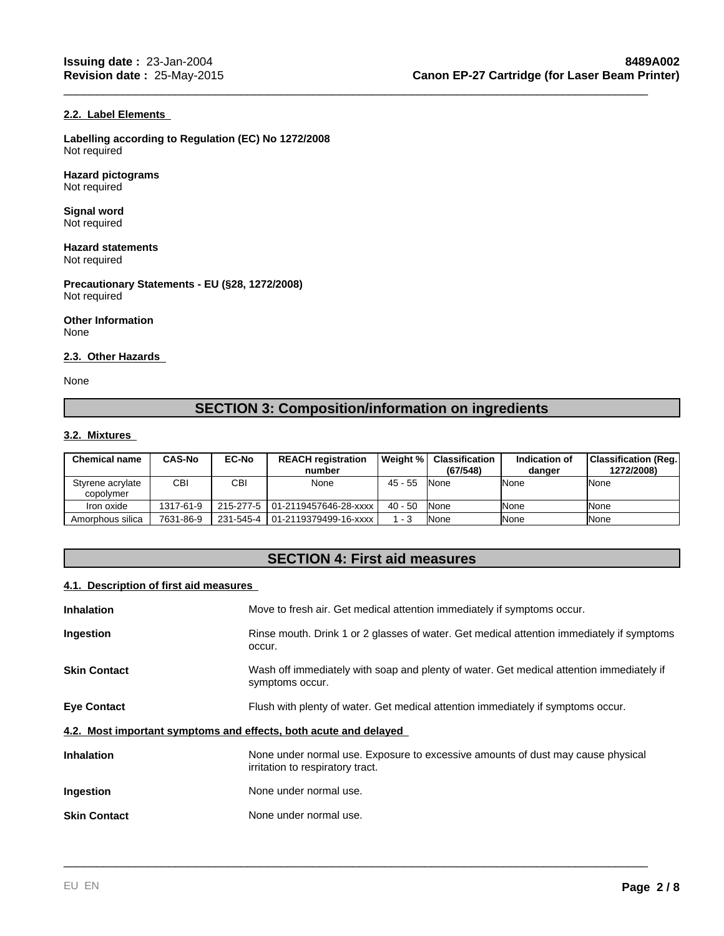## **2.2. Label Elements**

**Labelling according to Regulation (EC) No 1272/2008** Not required

**Hazard pictograms** Not required

**Signal word** Not required

**Hazard statements** Not required

**Precautionary Statements - EU (§28, 1272/2008)** Not required

**Other Information** None

#### **2.3. Other Hazards**

None

# **SECTION 3: Composition/information on ingredients**

\_\_\_\_\_\_\_\_\_\_\_\_\_\_\_\_\_\_\_\_\_\_\_\_\_\_\_\_\_\_\_\_\_\_\_\_\_\_\_\_\_\_\_\_\_\_\_\_\_\_\_\_\_\_\_\_\_\_\_\_\_\_\_\_\_\_\_\_\_\_\_\_\_\_\_\_\_\_\_\_\_\_\_\_\_\_\_\_\_

## **3.2. Mixtures**

| <b>Chemical name</b>          | <b>CAS-No</b> | <b>EC-No</b> | <b>REACH registration</b><br>number | l Weiaht % l | <b>Classification</b><br>(67/548) | Indication of<br>danger | Classification (Reg.)<br>1272/2008) |
|-------------------------------|---------------|--------------|-------------------------------------|--------------|-----------------------------------|-------------------------|-------------------------------------|
| Styrene acrylate<br>copolymer | СBІ           | CBI          | None                                | $45 - 55$    | <b>None</b>                       | <b>INone</b>            | None                                |
| Iron oxide                    | 1317-61-9     |              | 215-277-5   01-2119457646-28-xxxx   | $40 - 50$    | <b>None</b>                       | <b>INone</b>            | None                                |
| Amorphous silica              | 7631-86-9     |              | 231-545-4   01-2119379499-16-xxxx   | 1 - 3        | None                              | <b>INone</b>            | <b>None</b>                         |

# **SECTION 4: First aid measures**

# **4.1. Description of first aid measures**

| <b>Inhalation</b>                                                | Move to fresh air. Get medical attention immediately if symptoms occur.                                             |  |  |  |  |
|------------------------------------------------------------------|---------------------------------------------------------------------------------------------------------------------|--|--|--|--|
| Ingestion                                                        | Rinse mouth. Drink 1 or 2 glasses of water. Get medical attention immediately if symptoms<br>occur.                 |  |  |  |  |
| <b>Skin Contact</b>                                              | Wash off immediately with soap and plenty of water. Get medical attention immediately if<br>symptoms occur.         |  |  |  |  |
| <b>Eye Contact</b>                                               | Flush with plenty of water. Get medical attention immediately if symptoms occur.                                    |  |  |  |  |
| 4.2. Most important symptoms and effects, both acute and delayed |                                                                                                                     |  |  |  |  |
| <b>Inhalation</b>                                                | None under normal use. Exposure to excessive amounts of dust may cause physical<br>irritation to respiratory tract. |  |  |  |  |
| Ingestion                                                        | None under normal use.                                                                                              |  |  |  |  |
| <b>Skin Contact</b>                                              | None under normal use.                                                                                              |  |  |  |  |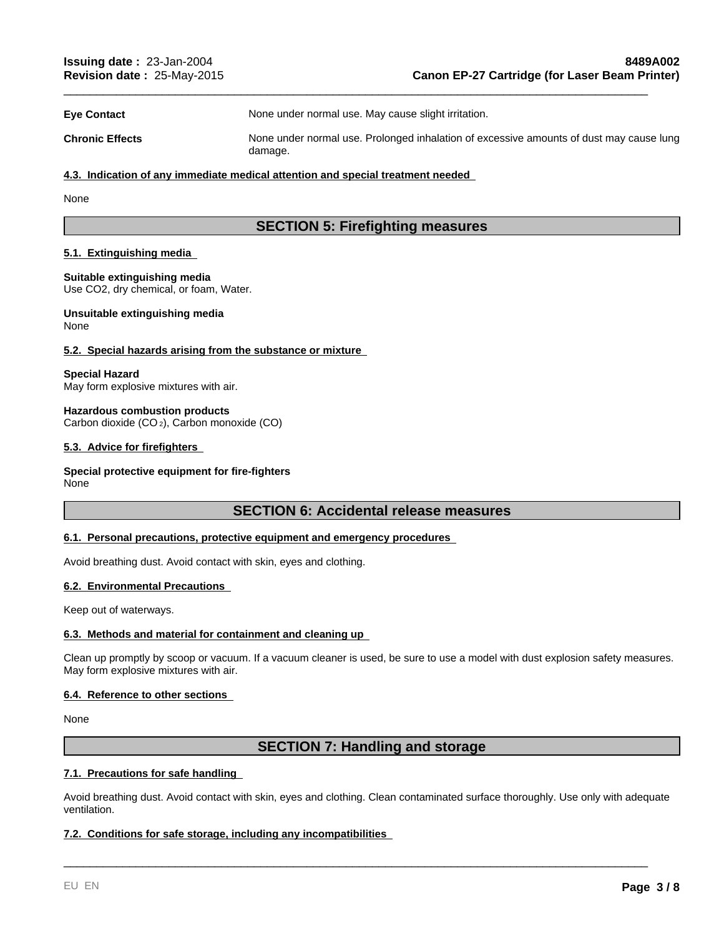**Eye Contact None under normal use. May cause slight irritation.** 

**Chronic Effects** None under normal use. Prolonged inhalation of excessive amounts of dust may cause lung damage.

\_\_\_\_\_\_\_\_\_\_\_\_\_\_\_\_\_\_\_\_\_\_\_\_\_\_\_\_\_\_\_\_\_\_\_\_\_\_\_\_\_\_\_\_\_\_\_\_\_\_\_\_\_\_\_\_\_\_\_\_\_\_\_\_\_\_\_\_\_\_\_\_\_\_\_\_\_\_\_\_\_\_\_\_\_\_\_\_\_

#### **4.3. Indication of any immediate medical attention and special treatment needed**

None

# **SECTION 5: Firefighting measures**

#### **5.1. Extinguishing media**

#### **Suitable extinguishing media**

Use CO2, dry chemical, or foam, Water.

#### **Unsuitable extinguishing media** None

#### **5.2. Special hazards arising from the substance or mixture**

#### **Special Hazard**

May form explosive mixtures with air.

#### **Hazardous combustion products**

Carbon dioxide (CO 2), Carbon monoxide (CO)

## **5.3. Advice for firefighters**

## **Special protective equipment for fire-fighters**

None

## **SECTION 6: Accidental release measures**

#### **6.1. Personal precautions, protective equipment and emergency procedures**

Avoid breathing dust. Avoid contact with skin, eyes and clothing.

#### **6.2. Environmental Precautions**

Keep out of waterways.

#### **6.3. Methods and material for containment and cleaning up**

Clean up promptly by scoop or vacuum. If a vacuum cleaner is used, be sure to use a model with dust explosion safety measures. May form explosive mixtures with air.

#### **6.4. Reference to other sections**

None

# **SECTION 7: Handling and storage**

## **7.1. Precautions for safe handling**

Avoid breathing dust. Avoid contact with skin, eyes and clothing. Clean contaminated surface thoroughly. Use only with adequate ventilation.

\_\_\_\_\_\_\_\_\_\_\_\_\_\_\_\_\_\_\_\_\_\_\_\_\_\_\_\_\_\_\_\_\_\_\_\_\_\_\_\_\_\_\_\_\_\_\_\_\_\_\_\_\_\_\_\_\_\_\_\_\_\_\_\_\_\_\_\_\_\_\_\_\_\_\_\_\_\_\_\_\_\_\_\_\_\_\_\_\_

## **7.2. Conditions for safe storage, including any incompatibilities**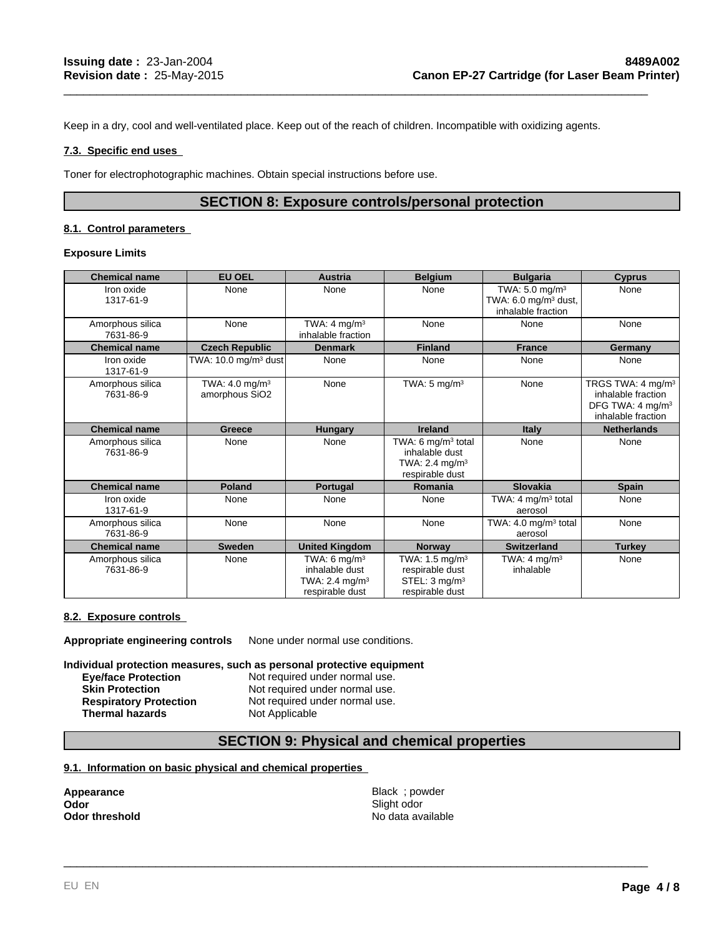Keep in a dry, cool and well-ventilated place. Keep out of the reach of children. Incompatible with oxidizing agents.

## **7.3. Specific end uses**

Toner for electrophotographic machines. Obtain special instructions before use.

# **SECTION 8: Exposure controls/personal protection**

\_\_\_\_\_\_\_\_\_\_\_\_\_\_\_\_\_\_\_\_\_\_\_\_\_\_\_\_\_\_\_\_\_\_\_\_\_\_\_\_\_\_\_\_\_\_\_\_\_\_\_\_\_\_\_\_\_\_\_\_\_\_\_\_\_\_\_\_\_\_\_\_\_\_\_\_\_\_\_\_\_\_\_\_\_\_\_\_\_

## **8.1. Control parameters**

## **Exposure Limits**

| <b>Chemical name</b>          | <b>EU OEL</b>                                  | <b>Austria</b>                                                                             | <b>Belgium</b>                                                                                    | <b>Bulgaria</b>                                                                       | <b>Cyprus</b>                                                                                             |
|-------------------------------|------------------------------------------------|--------------------------------------------------------------------------------------------|---------------------------------------------------------------------------------------------------|---------------------------------------------------------------------------------------|-----------------------------------------------------------------------------------------------------------|
| Iron oxide<br>1317-61-9       | None                                           | None                                                                                       | None                                                                                              | TWA: $5.0$ mg/m <sup>3</sup><br>TWA: $6.0 \text{ mg/m}^3$ dust,<br>inhalable fraction | None                                                                                                      |
| Amorphous silica<br>7631-86-9 | None                                           | TWA: $4 \text{ mg/m}^3$<br>inhalable fraction                                              | None                                                                                              | None                                                                                  | None                                                                                                      |
| <b>Chemical name</b>          | <b>Czech Republic</b>                          | <b>Denmark</b>                                                                             | <b>Finland</b>                                                                                    | <b>France</b>                                                                         | Germany                                                                                                   |
| Iron oxide<br>1317-61-9       | TWA: $10.0$ mg/m <sup>3</sup> dust             | None                                                                                       | None                                                                                              | None                                                                                  | None                                                                                                      |
| Amorphous silica<br>7631-86-9 | TWA: $4.0$ mg/m <sup>3</sup><br>amorphous SiO2 | None                                                                                       | TWA: $5 \text{ mg/m}^3$                                                                           | None                                                                                  | TRGS TWA: 4 mg/m <sup>3</sup><br>inhalable fraction<br>DFG TWA: 4 mg/m <sup>3</sup><br>inhalable fraction |
| <b>Chemical name</b>          | Greece                                         | <b>Hungary</b>                                                                             | <b>Ireland</b>                                                                                    | <b>Italy</b>                                                                          | <b>Netherlands</b>                                                                                        |
| Amorphous silica<br>7631-86-9 | None                                           | None                                                                                       | TWA: 6 mg/m <sup>3</sup> total<br>inhalable dust<br>TWA: 2.4 mg/m <sup>3</sup><br>respirable dust | None                                                                                  | None                                                                                                      |
| <b>Chemical name</b>          | Poland                                         | Portugal                                                                                   | Romania                                                                                           | Slovakia                                                                              | <b>Spain</b>                                                                                              |
| Iron oxide<br>1317-61-9       | None                                           | None                                                                                       | None                                                                                              | TWA: 4 $mg/m3$ total<br>aerosol                                                       | None                                                                                                      |
| Amorphous silica<br>7631-86-9 | None                                           | None                                                                                       | None                                                                                              | TWA: 4.0 mg/m <sup>3</sup> total<br>aerosol                                           | None                                                                                                      |
| <b>Chemical name</b>          | <b>Sweden</b>                                  | <b>United Kingdom</b>                                                                      | <b>Norway</b>                                                                                     | <b>Switzerland</b>                                                                    | Turkey                                                                                                    |
| Amorphous silica<br>7631-86-9 | None                                           | TWA: 6 mg/m <sup>3</sup><br>inhalable dust<br>TWA: $2.4 \text{ mg/m}^3$<br>respirable dust | TWA: 1.5 mg/m $3$<br>respirable dust<br>STEL: 3 mg/m <sup>3</sup><br>respirable dust              | TWA: $4 \text{ mg/m}^3$<br>inhalable                                                  | None                                                                                                      |

## **8.2. Exposure controls**

**Appropriate engineering controls** None under normal use conditions.

**Individual protection measures, such as personal protective equipment**

**Eye/face Protection Not required under normal use.**<br> **Skin Protection Not required under normal use. Skin Protection Not required under normal use.**<br> **Respiratory Protection Not required under normal use. Thermal hazards** Not Applicable

Not required under normal use.

## **SECTION 9: Physical and chemical properties**

## **9.1. Information on basic physical and chemical properties**

**Odor**<br>Odor threshold

**Appearance** and the settlement of the settlement of the Black ; powder and the settlement of the settlement of the settlement of the settlement of the settlement of the settlement of the settlement of the settlement of th Slight odor No data available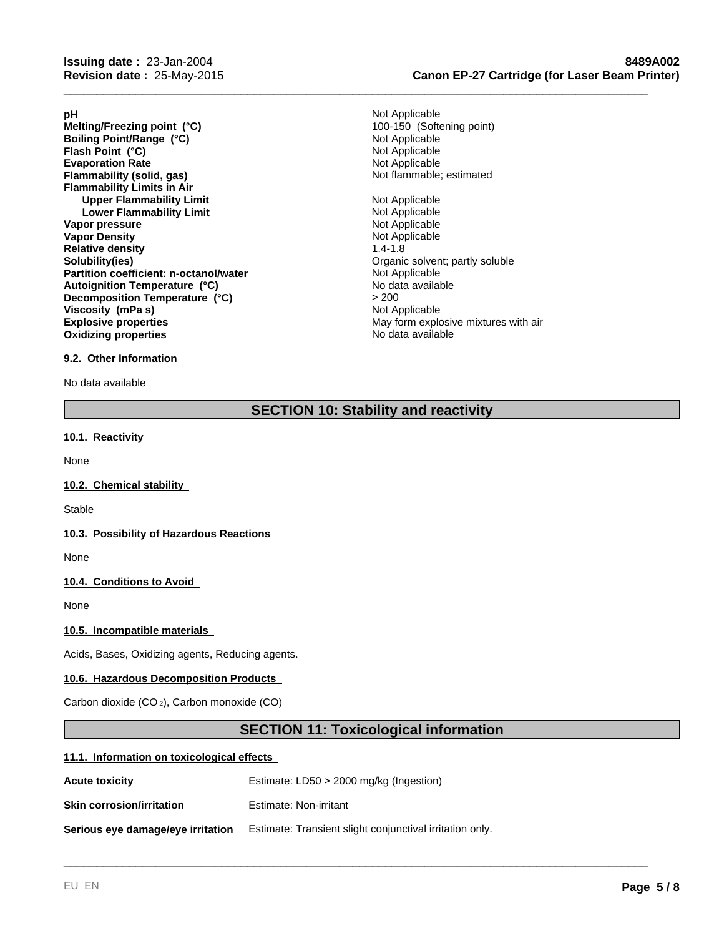- **Evaporation Rate**<br> **Example:** Not Applicable<br> **Elammability (solid, gas)**<br> **Example:** Not flammable; estimated **Flammability (solid, gas) Flammability Limits in Air Upper Flammability Limit**<br> **Lower Flammability Limit**<br> **Lower Flammability Limit Lower Flammability Limit Vapor pressure** Not Applicable **Vapor Density** Not Applicable **Relative density** 1.4-1.8 **Solubility(ies)**<br> **Partition coefficient: n-octanol/water**<br> **Partition coefficient: n-octanol/water**<br> **Community** Communication Communication Communication Communication Communication Communication Communication Communica **Partition coefficient: n-octanol/water** Not Applicable Not Applicable Autoignition Temperature (°C) **Explosive properties**<br> **Explosive properties**<br> **Oxidizing properties**<br>
May form explosive mixtures with air<br>
No data available **Oxidizing properties Melting/Freezing point (°C)**<br> **Boiling Point/Range (°C)**<br> **Boiling Point/Range (°C)**<br> **Boiling Point/Range (°C) Boiling Point/Range (°C)** Not Applicable<br> **Flash Point (°C)** Not Applicable **Flash Point (°C) Autoignition Temperature (°C) Decomposition Temperature (°C) Viscosity (mPa s)**
- **pH** Not Applicable > 200<br>Not Applicable

\_\_\_\_\_\_\_\_\_\_\_\_\_\_\_\_\_\_\_\_\_\_\_\_\_\_\_\_\_\_\_\_\_\_\_\_\_\_\_\_\_\_\_\_\_\_\_\_\_\_\_\_\_\_\_\_\_\_\_\_\_\_\_\_\_\_\_\_\_\_\_\_\_\_\_\_\_\_\_\_\_\_\_\_\_\_\_\_\_

## **9.2. Other Information**

No data available

# **SECTION 10: Stability and reactivity**

#### **10.1. Reactivity**

None

## **10.2. Chemical stability**

**Stable** 

## **10.3. Possibility of Hazardous Reactions**

None

## **10.4. Conditions to Avoid**

None

## **10.5. Incompatible materials**

Acids, Bases, Oxidizing agents, Reducing agents.

#### **10.6. Hazardous Decomposition Products**

Carbon dioxide (CO 2), Carbon monoxide (CO)

# **SECTION 11: Toxicological information**

\_\_\_\_\_\_\_\_\_\_\_\_\_\_\_\_\_\_\_\_\_\_\_\_\_\_\_\_\_\_\_\_\_\_\_\_\_\_\_\_\_\_\_\_\_\_\_\_\_\_\_\_\_\_\_\_\_\_\_\_\_\_\_\_\_\_\_\_\_\_\_\_\_\_\_\_\_\_\_\_\_\_\_\_\_\_\_\_\_

#### **11.1. Information on toxicological effects**

| <b>Acute toxicity</b>             | Estimate: $LD50 > 2000$ mg/kg (Ingestion)                |
|-----------------------------------|----------------------------------------------------------|
| <b>Skin corrosion/irritation</b>  | Estimate: Non-irritant                                   |
| Serious eye damage/eye irritation | Estimate: Transient slight conjunctival irritation only. |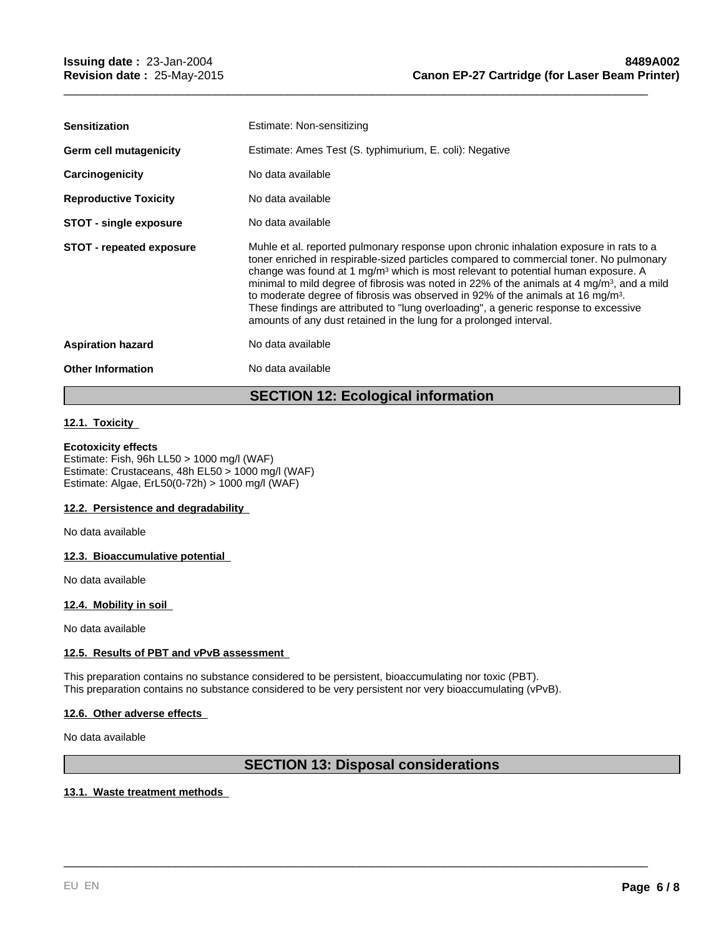| <b>Sensitization</b>            | Estimate: Non-sensitizing                                                                                                                                                                                                                                                                                                                                                                                                                                                                                                                                                                                                                                 |
|---------------------------------|-----------------------------------------------------------------------------------------------------------------------------------------------------------------------------------------------------------------------------------------------------------------------------------------------------------------------------------------------------------------------------------------------------------------------------------------------------------------------------------------------------------------------------------------------------------------------------------------------------------------------------------------------------------|
| Germ cell mutagenicity          | Estimate: Ames Test (S. typhimurium, E. coli): Negative                                                                                                                                                                                                                                                                                                                                                                                                                                                                                                                                                                                                   |
| Carcinogenicity                 | No data available                                                                                                                                                                                                                                                                                                                                                                                                                                                                                                                                                                                                                                         |
| <b>Reproductive Toxicity</b>    | No data available                                                                                                                                                                                                                                                                                                                                                                                                                                                                                                                                                                                                                                         |
| STOT - single exposure          | No data available                                                                                                                                                                                                                                                                                                                                                                                                                                                                                                                                                                                                                                         |
| <b>STOT - repeated exposure</b> | Muhle et al. reported pulmonary response upon chronic inhalation exposure in rats to a<br>toner enriched in respirable-sized particles compared to commercial toner. No pulmonary<br>change was found at 1 mg/m <sup>3</sup> which is most relevant to potential human exposure. A<br>minimal to mild degree of fibrosis was noted in 22% of the animals at 4 mg/m <sup>3</sup> , and a mild<br>to moderate degree of fibrosis was observed in 92% of the animals at 16 mg/m <sup>3</sup> .<br>These findings are attributed to "lung overloading", a generic response to excessive<br>amounts of any dust retained in the lung for a prolonged interval. |
| <b>Aspiration hazard</b>        | No data available                                                                                                                                                                                                                                                                                                                                                                                                                                                                                                                                                                                                                                         |
| <b>Other Information</b>        | No data available                                                                                                                                                                                                                                                                                                                                                                                                                                                                                                                                                                                                                                         |
|                                 |                                                                                                                                                                                                                                                                                                                                                                                                                                                                                                                                                                                                                                                           |

\_\_\_\_\_\_\_\_\_\_\_\_\_\_\_\_\_\_\_\_\_\_\_\_\_\_\_\_\_\_\_\_\_\_\_\_\_\_\_\_\_\_\_\_\_\_\_\_\_\_\_\_\_\_\_\_\_\_\_\_\_\_\_\_\_\_\_\_\_\_\_\_\_\_\_\_\_\_\_\_\_\_\_\_\_\_\_\_\_

# **SECTION 12: Ecological information**

## **12.1. Toxicity**

## **Ecotoxicity effects**

Estimate: Fish, 96h LL50 > 1000 mg/l (WAF) Estimate: Crustaceans, 48h EL50 > 1000 mg/l (WAF) Estimate: Algae, ErL50(0-72h) > 1000 mg/l (WAF)

## **12.2. Persistence and degradability**

No data available

## **12.3. Bioaccumulative potential**

No data available

## **12.4. Mobility in soil**

No data available

## **12.5. Results of PBT and vPvB assessment**

This preparation contains no substance considered to be persistent, bioaccumulating nor toxic (PBT). This preparation contains no substance considered to be very persistent nor very bioaccumulating (vPvB).

## **12.6. Other adverse effects**

No data available

# **SECTION 13: Disposal considerations**

\_\_\_\_\_\_\_\_\_\_\_\_\_\_\_\_\_\_\_\_\_\_\_\_\_\_\_\_\_\_\_\_\_\_\_\_\_\_\_\_\_\_\_\_\_\_\_\_\_\_\_\_\_\_\_\_\_\_\_\_\_\_\_\_\_\_\_\_\_\_\_\_\_\_\_\_\_\_\_\_\_\_\_\_\_\_\_\_\_

## **13.1. Waste treatment methods**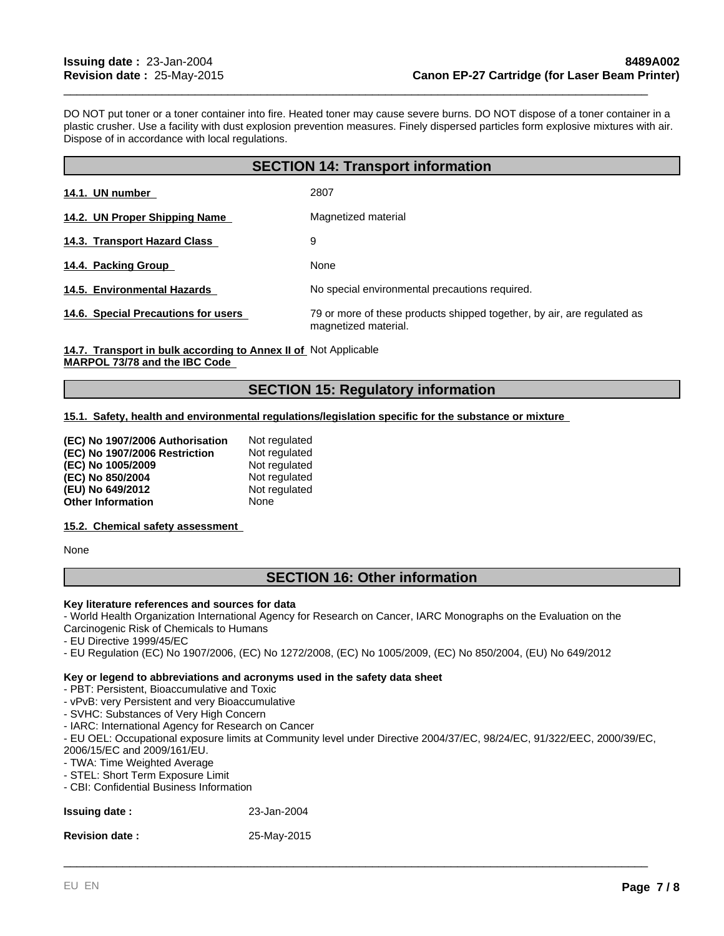DO NOT put toner or a toner container into fire. Heated toner may cause severe burns. DO NOT dispose of a toner container in a plastic crusher. Use a facility with dust explosion prevention measures. Finely dispersed particles form explosive mixtures with air. Dispose of in accordance with local regulations.

\_\_\_\_\_\_\_\_\_\_\_\_\_\_\_\_\_\_\_\_\_\_\_\_\_\_\_\_\_\_\_\_\_\_\_\_\_\_\_\_\_\_\_\_\_\_\_\_\_\_\_\_\_\_\_\_\_\_\_\_\_\_\_\_\_\_\_\_\_\_\_\_\_\_\_\_\_\_\_\_\_\_\_\_\_\_\_\_\_

| <b>SECTION 14: Transport information</b> |                                                                                                 |  |
|------------------------------------------|-------------------------------------------------------------------------------------------------|--|
| 14.1. UN number                          | 2807                                                                                            |  |
| 14.2. UN Proper Shipping Name            | Magnetized material                                                                             |  |
| 14.3. Transport Hazard Class             | 9                                                                                               |  |
| 14.4. Packing Group                      | None                                                                                            |  |
| 14.5. Environmental Hazards              | No special environmental precautions required.                                                  |  |
| 14.6. Special Precautions for users      | 79 or more of these products shipped together, by air, are regulated as<br>magnetized material. |  |

14.7. Transport in bulk according to Annex II of Not Applicable **MARPOL 73/78 and the IBC Code** 

# **SECTION 15: Regulatory information**

## **15.1. Safety, health and environmental regulations/legislation specific for the substance or mixture**

| (EC) No 1907/2006 Authorisation | Not regulated |
|---------------------------------|---------------|
| (EC) No 1907/2006 Restriction   | Not regulated |
| (EC) No 1005/2009               | Not regulated |
| (EC) No 850/2004                | Not regulated |
| (EU) No 649/2012                | Not regulated |
| <b>Other Information</b>        | None          |

## **15.2. Chemical safety assessment**

None

# **SECTION 16: Other information**

## **Key literature references and sources for data**

- World Health Organization International Agency for Research on Cancer, IARC Monographs on the Evaluation on the Carcinogenic Risk of Chemicals to Humans

- EU Directive 1999/45/EC
- EU Regulation (EC) No 1907/2006, (EC) No 1272/2008, (EC) No 1005/2009, (EC) No 850/2004, (EU) No 649/2012

#### **Key or legend to abbreviations and acronyms used in the safety data sheet**

- PBT: Persistent, Bioaccumulative and Toxic
- vPvB: very Persistent and very Bioaccumulative
- SVHC: Substances of Very High Concern
- IARC: International Agency for Research on Cancer
- EU OEL: Occupational exposure limits at Community level under Directive 2004/37/EC, 98/24/EC, 91/322/EEC, 2000/39/EC, 2006/15/EC and 2009/161/EU.

- TWA: Time Weighted Average
- STEL: Short Term Exposure Limit
- CBI: Confidential Business Information

| <b>Issuing date:</b>  | 23-Jan-2004 |
|-----------------------|-------------|
| <b>Revision date:</b> | 25-May-2015 |